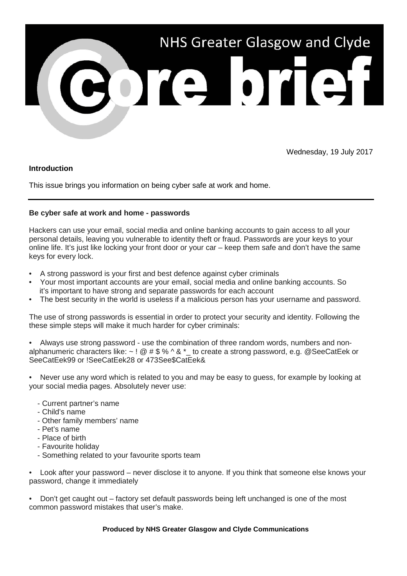

Wednesday, 19 July 2017

## **Introduction**

This issue brings you information on being cyber safe at work and home.

## **Be cyber safe at work and home - passwords**

Hackers can use your email, social media and online banking accounts to gain access to all your personal details, leaving you vulnerable to identity theft or fraud. Passwords are your keys to your online life. It's just like locking your front door or your car – keep them safe and don't have the same keys for every lock.

- A strong password is your first and best defence against cyber criminals
- Your most important accounts are your email, social media and online banking accounts. So it's important to have strong and separate passwords for each account
- The best security in the world is useless if a malicious person has your username and password.

The use of strong passwords is essential in order to protect your security and identity. Following the these simple steps will make it much harder for cyber criminals:

• Always use strong password - use the combination of three random words, numbers and nonalphanumeric characters like:  $\sim$  ! @ # \$ % ^ & \* to create a strong password, e.g. @SeeCatEek or SeeCatEek99 or !SeeCatEek28 or 473See\$CatEek&

• Never use any word which is related to you and may be easy to guess, for example by looking at your social media pages. Absolutely never use:

- Current partner's name
- Child's name
- Other family members' name
- Pet's name
- Place of birth
- Favourite holiday
- Something related to your favourite sports team

• Look after your password – never disclose it to anyone. If you think that someone else knows your password, change it immediately

• Don't get caught out – factory set default passwords being left unchanged is one of the most common password mistakes that user's make.

## **Produced by NHS Greater Glasgow and Clyde Communications**